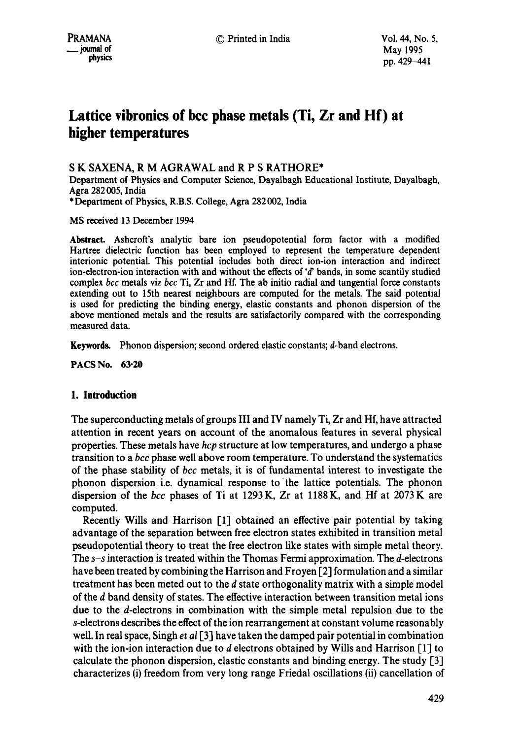# **Lattice vibronics of bcc phase metals (Ti, Zr and Hf) at higher temperatures**

# S K SAXENA, R M AGRAWAL and R P S RATHORE\*

Department of Physics and Computer Science, Dayalbagh Educational Institute, Dayalbagh, Agra 282 005, India \* Department of Physics, R.B.S. College, Agra 282 002, India

MS received 13 December 1994

Abstract. Ashcroft's analytic bare ion pseudopotential form factor with a modified Hartree dielectric function has been employed to represent the temperature dependent interionic potential. This potential includes both direct ion-ion interaction and indirect ion-electron-ion interaction with and without the effects of  $d$  bands, in some scantily studied complex *bcc* metals viz *bcc* Ti, Zr and Hf. The ab initio radial and tangential force constants extending out to 15th nearest neighbours are computed for the metals. The said potential is used for predicting the binding energy, elastic constants and phonon dispersion of the above mentioned metals and the results are satisfactorily compared with the corresponding measured data.

**Keywords.** Phonon dispersion; second ordered elastic constants; d-band electrons.

**PACS No. 63-20** 

## **1. Introduction**

The superconducting metals of groups III and IV namely Ti, Zr and Hf, have attracted attention in recent years on account of the anomalous features in several physical properties. These metals have *hcp* structure at low temperatures, and undergo a phase transition to a *bcc* phase well above room temperature. To understand the systematics of the phase stability of *bcc* metals, it is of fundamental interest to investigate the phonon dispersion i.e. dynamical response to 'the lattice potentials. The phonon dispersion of the *bcc* phases of Ti at 1293K, Zr at 1188K, and Hf at 2073K are computed.

Recently Wills and Harrison [1] obtained an effective pair potential by taking advantage of the separation between free electron states exhibited in transition metal pseudopotential theory to treat the free electron like states with simple metal theory. *The s-s* interaction is treated within the Thomas Fermi approximation. The d-electrons have been treated by combining the Harrison and Froyen [2] formulation and a similar treatment has been meted out to the d state orthogonality matrix with a simple model of the d band density of states. The effective interaction between transition metal ions due to the d-electrons in combination with the simple metal repulsion due to the s-electrons describes the effect of the ion rearrangement at constant volume reasonably well. In real space, Singh et *al* [3] have taken the damped pair potential in combination with the ion-ion interaction due to d electrons obtained by Wills and Harrison [1] to calculate the phonon dispersion, elastic constants and binding energy. The study [3] characterizes (i) freedom from very long range Friedal oscillations (ii) cancellation of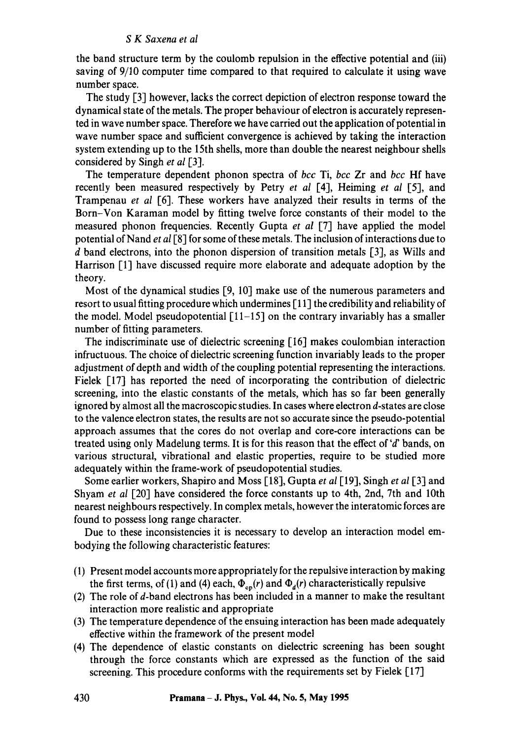the band structure term by the coulomb repulsion in the effective potential and (iii) saving of 9/10 computer time compared to that required to calculate it using wave number space.

The study [3] however, lacks the correct depiction of electron response toward the dynamical state of the metals. The proper behaviour of electron is accurately represented in wave number space. Therefore we have carried out the application of potential in wave number space and sufficient convergence is achieved by taking the interaction system extending up to the 15th shells, more than double the nearest neighbour shells considered by Singh *et al* [31.

The temperature dependent phonon spectra of *bcc* Ti, *bcc* Zr and *bcc* Hf have recently been measured respectively by Petry *et al* [41, Heiming *et al* [51, and Trampenau *et al* [6]. These workers have analyzed their results in terms of the Born-Von Karaman model by fitting twelve force constants of their model to the measured phonon frequencies. Recently Gupta *et al* [7] have applied the model potential of Nand *et al* [8] for some of these metals. The inclusion of interactions due to d band electrons, into the phonon dispersion of transition metals [3], as Wills and Harrison [1] have discussed require more elaborate and adequate adoption by the theory.

Most of the dynamical studies [9, 10] make use of the numerous parameters and resort to usual fitting procedure which undermines [ 111 the credibility and reliability of the model. Model pseudopotential  $\lceil 11-15 \rceil$  on the contrary invariably has a smaller number of fitting parameters.

The indiscriminate use of dielectric screening [16] makes coulombian interaction infructuous. The choice of dielectric screening function invariably leads to the proper adjustment of depth and width of the coupling potential representing the interactions. Fielek [17] has reported the need of incorporating the contribution of dielectric screening, into the elastic constants of the metals, which has so far been generally ignored by almost all the macroscopic studies. In cases where electron d-states are close to the valence electron states, the results are not so accurate since the pseudo-potential approach assumes that the cores do not overlap and core-core interactions can be treated using only Madelung terms. It is for this reason that the effect of  $d'$  bands, on various structural, vibrational and elastic properties, require to be studied more adequately within the frame-work of pseudopotential studies.

Some earlier workers, Shapiro and Moss [181, Gupta *et al* [191, Singh *et al* [3] and Shyam *et al* [20] have considered the force constants up to 4th, 2nd, 7th and 10th nearest neighbours respectively. In complex metals, however the interatomic forces are found to possess long range character.

Due to these inconsistencies it is necessary to develop an interaction model embodying the following characteristic features:

- (1) Present model accounts more appropriately for the repulsive interaction by making the first terms, of (1) and (4) each,  $\Phi_{\rm cp}(r)$  and  $\Phi_d(r)$  characteristically repulsive
- (2) The role of d-band electrons has been included in a manner to make the resultant interaction more realistic and appropriate
- (3) The temperature dependence of the ensuing interaction has been made adequately effective within the framework of the present model
- (4) The dependence of elastic constants on dielectric screening has been sought through the force constants which are expressed as the function of the said screening. This procedure conforms with the requirements set by Fielek [17]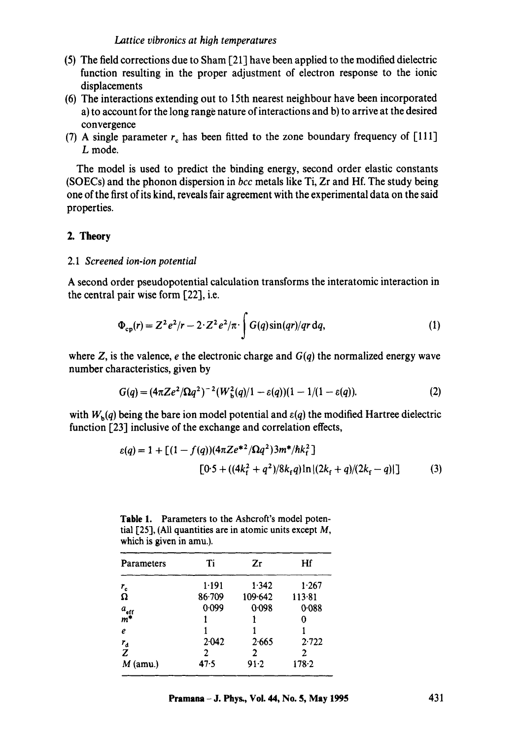- (5) The field corrections due to Sham [21] have been applied to the modified dielectric function resulting in the proper adjustment of electron response to the ionic displacements
- (6) The interactions extending out to 15th nearest neighbour have been incorporated a) to account for the long range nature of interactions and b) to arrive at the desired convergence
- (7) A single parameter  $r_c$  has been fitted to the zone boundary frequency of [111] L mode.

The model is used to predict the binding energy, second order elastic constants (SOECs) and the phonon dispersion in *bcc* metals like Ti, Zr and Hf. The study being one of the first of its kind, reveals fair agreement with the experimental data on the said properties.

# **2. Theory**

## *2.1 Screened ion-ion potential*

A second order pseudopotential calculation transforms the interatomic interaction in the central pair wise form [22], i.e.

$$
\Phi_{\rm cp}(r) = Z^2 e^2/r - 2 \cdot Z^2 e^2/\pi \cdot \int G(q) \sin(qr)/qr \,dq,\tag{1}
$$

where Z, is the valence,  $e$  the electronic charge and  $G(q)$  the normalized energy wave number characteristics, given by

$$
G(q) = (4\pi Ze^2/\Omega q^2)^{-2}(W_b^2(q)/1 - \varepsilon(q))(1 - 1/(1 - \varepsilon(q))).
$$
 (2)

with  $W_b(q)$  being the bare ion model potential and  $\varepsilon(q)$  the modified Hartree dielectric function [23] inclusive of the exchange and correlation effects,

$$
\varepsilon(q) = 1 + \left[ (1 - f(q)) (4\pi Z e^{*2} / \Omega q^2) 3m^* / \hbar k_f^2 \right]
$$
  

$$
[0.5 + ((4k_f^2 + q^2) / 8k_f q) \ln |(2k_f + q) / (2k_f - q)|]
$$
 (3)

Table 1. Parameters to the Ashcroft's model potential  $[25]$ , (All quantities are in atomic units except M, which is given in amu.).

| Parameters                | Ti         | Zr       | Hf        |  |
|---------------------------|------------|----------|-----------|--|
| $r_{\rm c}$               | 1.191      | 1.342    | 1.267     |  |
| Ω                         | $86 - 709$ | 109.642  | 113.81    |  |
|                           | 0.099      | 0.098    | 0.088     |  |
| $\frac{a_{\rm eff}}{m^*}$ |            |          |           |  |
| $\boldsymbol{e}$          |            |          |           |  |
|                           | 2.042      | 2.665    | 2.722     |  |
| $\frac{r_d}{Z}$           | 2          | 2        | 2         |  |
| $M$ (amu.)                | $47 - 5$   | $91 - 2$ | $178 - 2$ |  |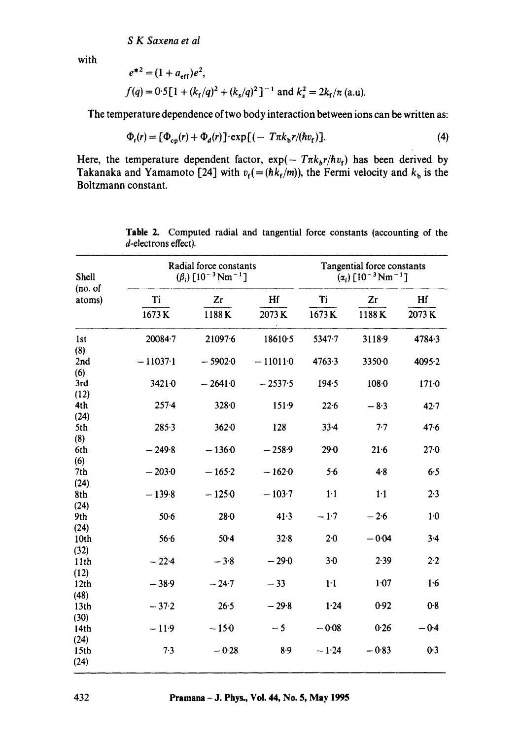$$
e^{*2} = (1 + a_{eff})e^2
$$
,  
\n $f(q) = 0.5[1 + (k_f/q)^2 + (k_s/q)^2]^{-1}$  and  $k_s^2 = 2k_f/\pi$  (a.u).

The temperature dependence of two body interaction between ions can be written as:

$$
\Phi_t(r) = [\Phi_{\rm cp}(r) + \Phi_d(r)] \cdot \exp[(-T\pi k_{\rm b}r/(\hbar v_{\rm f})]. \tag{4}
$$

Here, the temperature dependent factor,  $exp(- T \pi k_b r / \hbar v_f)$  has been derived by Takanaka and Yamamoto [24] with  $v_f$ (=  $(hk_f/m)$ ), the Fermi velocity and  $k_b$  is the **Boltzmann constant.** 

| Shell<br>(no. of<br>atoms) |            | Radial force constants<br>$(\beta_i)$ [10 <sup>-3</sup> Nm <sup>-1</sup> ] |           |            | Tangential force constants<br>$(\alpha_i)$ [10 <sup>-3</sup> Nm <sup>-1</sup> ] |           |  |
|----------------------------|------------|----------------------------------------------------------------------------|-----------|------------|---------------------------------------------------------------------------------|-----------|--|
|                            | Ti         | Zr                                                                         | Hf        | Ti         | Zr                                                                              | Hf        |  |
|                            | 1673K      | 1188K                                                                      | 2073K     | 1673K      | 1188K                                                                           | 2073K     |  |
| 1st<br>(8)                 | 20084-7    | 21097.6                                                                    | 18610.5   | $5347 - 7$ | 3118.9                                                                          | 4784.3    |  |
| 2nd<br>(6)                 | $-11037-1$ | $-59020$                                                                   | $-110110$ | 4763.3     | 3350.0                                                                          | 4095.2    |  |
| 3rd<br>(12)                | $3421 - 0$ | $-26410$                                                                   | $-2537.5$ | 194.5      | 108.0                                                                           | $171 - 0$ |  |
| 4th                        | $257 - 4$  | 328.0                                                                      | 151.9     | 22.6       | $-8.3$                                                                          | $42 - 7$  |  |
| (24)<br>5th                | 285.3      | $362 - 0$                                                                  | 128       | $33 - 4$   | 7.7                                                                             | 47.6      |  |
| (8)<br>6th                 | $-249.8$   | $-1360$                                                                    | $-258.9$  | 29.0       | 21.6                                                                            | 27.0      |  |
| (6)<br>7th                 | $-203-0$   | $-165-2$                                                                   | $-1620$   | 5.6        | $4 - 8$                                                                         | 6.5       |  |
| (24)<br>8th                | $-139.8$   | $-1250$                                                                    | $-103.7$  | $1-1$      | $1-1$                                                                           | 2.3       |  |
| (24)<br>9th                | $50-6$     | $28 - 0$                                                                   | 41.3      | $-1.7$     | $-2.6$                                                                          | 1·0       |  |
| (24)<br>10th               | 56.6       | $50 - 4$                                                                   | 32.8      | $2 - 0$    | $-0.04$                                                                         | $3-4$     |  |
| (32)<br>11th               | $-22.4$    | $-3.8$                                                                     | $-29.0$   | $3-0$      | 2.39                                                                            | 2.2       |  |
| (12)<br>12th               | $-38.9$    | $-24.7$                                                                    | $-33$     | $1-1$      | 1.07                                                                            | 1.6       |  |
| (48)<br>13 <sub>th</sub>   | $-37.2$    | 26.5                                                                       | $-29.8$   | 1.24       | 0.92                                                                            | 0.8       |  |
| (30)<br>14th               | $-11.9$    | $-150$                                                                     | $-5$      | $-0.08$    | 0.26                                                                            | $-0.4$    |  |
| (24)<br>15th<br>(24)       | 7.3        | $-0.28$                                                                    | $8-9$     | $-1.24$    | $-0.83$                                                                         | 0.3       |  |

**Table** 2. Computed radial and tangential force constants (accounting of the d-electrons effect).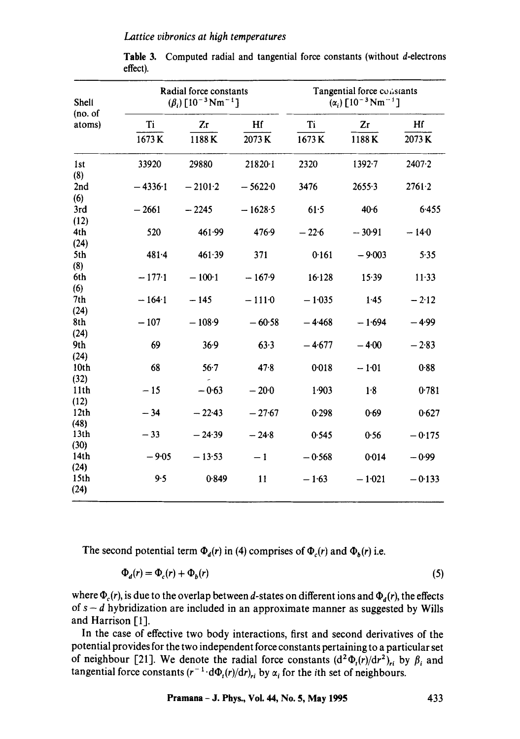#### *Lattice vibronics at hioh temperatures*

| Shell<br>(no. of<br>atoms) | Radial force constants<br>$(\beta_i)$ [10 <sup>-3</sup> Nm <sup>-1</sup> ] |           |           | Tangential force constants<br>$(\alpha_i)$ [10 <sup>-3</sup> Nm <sup>-1</sup> ] |            |          |
|----------------------------|----------------------------------------------------------------------------|-----------|-----------|---------------------------------------------------------------------------------|------------|----------|
|                            | Ti                                                                         | Zr        | Hf        | Ti                                                                              | Zr         | Hf       |
|                            | 1673K                                                                      | 1188K     | 2073K     | 1673K                                                                           | 1188K      | 2073K    |
| 1 <sub>st</sub>            | 33920                                                                      | 29880     | 21820·1   | 2320                                                                            | $1392 - 7$ | 2407.2   |
| (8)                        |                                                                            |           |           |                                                                                 |            |          |
| 2nd                        | $-4336.1$                                                                  | $-2101-2$ | $-56220$  | 3476                                                                            | 2655.3     | 2761.2   |
| (6)<br>3rd                 | $-2661$                                                                    | $-2245$   | $-1628.5$ | 61.5                                                                            | 40.6       | 6.455    |
| (12)                       |                                                                            |           |           |                                                                                 |            |          |
| 4th                        | 520                                                                        | 461.99    | 476.9     | $-22.6$                                                                         | $-30.91$   | $-140$   |
| (24)                       |                                                                            |           |           |                                                                                 |            |          |
| 5th                        | $481 - 4$                                                                  | 461.39    | 371       | 0.161                                                                           | $-9.003$   | 5.35     |
| (8)                        |                                                                            |           |           |                                                                                 |            |          |
| 6th                        | $-177.1$                                                                   | $-100-1$  | $-167.9$  | 16.128                                                                          | 15.39      | $11-33$  |
| (6)                        |                                                                            |           |           |                                                                                 |            |          |
| 7th                        | $-164.1$                                                                   | $-145$    | $-1110$   | $-1.035$                                                                        | 1.45       | $-2.12$  |
| (24)                       |                                                                            |           |           |                                                                                 |            |          |
| 8th                        | $-107$                                                                     | $-108.9$  | $-60.58$  | $-4.468$                                                                        | $-1.694$   | $-4.99$  |
| (24)                       |                                                                            |           |           |                                                                                 |            |          |
| 9th                        | 69                                                                         | 36.9      | 63.3      | $-4.677$                                                                        | $-4.00$    | $-2.83$  |
| (24)<br>10 <sub>th</sub>   | 68                                                                         | 56.7      | 47.8      | 0.018                                                                           | $-1.01$    | 0.88     |
| (32)                       |                                                                            |           |           |                                                                                 |            |          |
| 11 <sub>th</sub>           | $-15$                                                                      | $-0.63$   | $-20.0$   | 1.903                                                                           | 1.8        | 0.781    |
| (12)                       |                                                                            |           |           |                                                                                 |            |          |
| 12th                       | $-34$                                                                      | $-22.43$  | $-27.67$  | 0.298                                                                           | 0.69       | 0.627    |
| (48)                       |                                                                            |           |           |                                                                                 |            |          |
| 13 <sub>th</sub>           | $-33$                                                                      | $-24.39$  | $-24.8$   | 0.545                                                                           | 0.56       | $-0.175$ |
| (30)                       |                                                                            |           |           |                                                                                 |            |          |
| 14 <sub>th</sub>           | $-9.05$                                                                    | $-13.53$  | $-1$      | $-0.568$                                                                        | 0.014      | $-0.99$  |
| (24)                       |                                                                            |           |           |                                                                                 |            |          |
| 15th<br>(24)               | 9.5                                                                        | 0.849     | 11        | $-1.63$                                                                         | $-1.021$   | $-0.133$ |

Table 3. Computed radial and tangential force constants (without d-electrons effect).

The second potential term  $\Phi_d(r)$  in (4) comprises of  $\Phi_c(r)$  and  $\Phi_b(r)$  i.e.

$$
\Phi_d(r) = \Phi_c(r) + \Phi_b(r) \tag{5}
$$

where  $\Phi_c(r)$ , is due to the overlap between d-states on different ions and  $\Phi_d(r)$ , the effects of  $s - d$  hybridization are included in an approximate manner as suggested by Wills and Harrison [1].

In the case of effective two body interactions, first and second derivatives of the potential provides for the two independent force constants pertaining to a particular set of neighbour [21]. We denote the radial force constants  $(d^2 \Phi_t(r)/dr^2)_{ri}$  by  $\beta_i$  and tangential force constants  $(r^{-1} \cdot d\Phi_t(r)/dr)_{ti}$  by  $\alpha_i$  for the ith set of neighbours.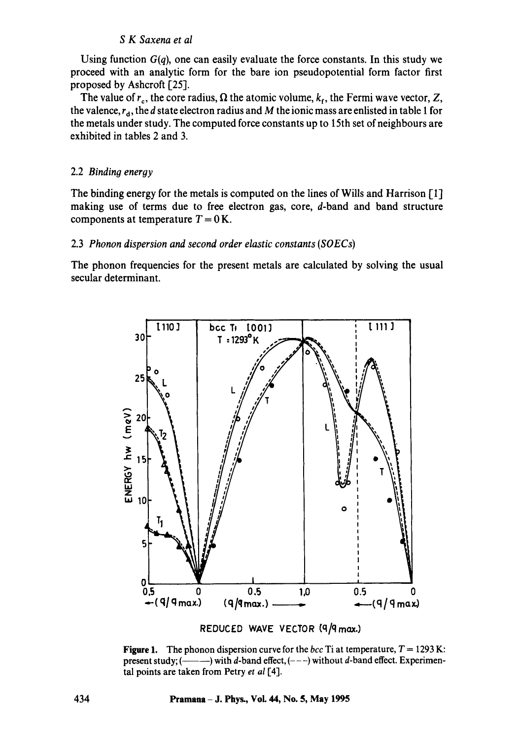Using function  $G(q)$ , one can easily evaluate the force constants. In this study we proceed with an analytic form for the bare ion pseudopotential form factor first proposed by Ashcroft [25].

The value of  $r_c$ , the core radius,  $\Omega$  the atomic volume,  $k_f$ , the Fermi wave vector, Z, the valence,  $r_d$ , the d state electron radius and M the ionic mass are enlisted in table 1 for the metals under study. The computed force constants up to 15th set of neighbours are exhibited in tables 2 and 3.

## 2.2 *Binding energy*

The binding energy for the metals is computed on the lines of Wills and Harrison [1] making use of terms due to free electron gas, core, d-band and band structure components at temperature  $T = 0$  K.

#### 2.3 *Phonon dispersion and second order elastic constants (SOECs)*

The phonon frequencies for the present metals are calculated by solving the usual secular determinant.



REDUCED WAVE VECTOR (9/9 max.)

**Figure 1.** The phonon dispersion curve for the *bcc* Ti at temperature,  $T = 1293$  K: present study; ( ) with d-band effect, (---) without d-band effect. Experimental points are taken from Petry *et al* [4].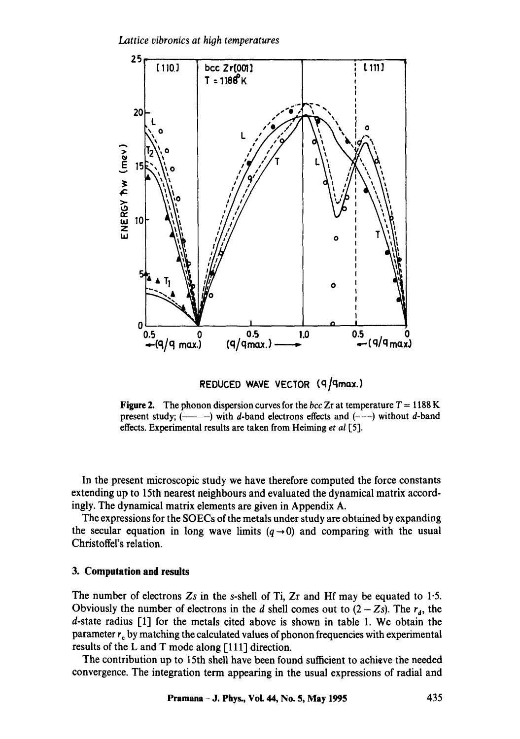*Lattice vibronics at hioh temperatures* 



REDUCED WAVE VECTOR (9/9max.)

**Figure 2.** The phonon dispersion curves for the *bcc* Zr at temperature  $T = 1188$  K present study; ( ) with d-band electrons effects and (---) without d-band effects. Experimental results are taken from Heiming *et al* [5].

In the present microscopic study we have therefore computed the force constants extending up to 15th nearest neighbours and evaluated the dynamical matrix accordingly. The dynamical matrix elements are given in Appendix A.

The expressions for the SOECs of the metals under study are obtained by expanding the secular equation in long wave limits  $(q \rightarrow 0)$  and comparing with the usual Christoffel's relation.

## **3. Computation and results**

The number of electrons *Zs* in the s-shell of Ti, Zr and Hf may be equated to 1.5. Obviously the number of electrons in the d shell comes out to  $(2 - Zs)$ . The  $r_a$ , the d-state radius [1] for the metals cited above is shown in table 1. We obtain the parameter  $r_c$  by matching the calculated values of phonon frequencies with experimental results of the L and T mode along [111] direction.

The contribution up to 15th shell have been found sufficient to achieve the needed convergence. The integration term appearing in the usual expressions of radial and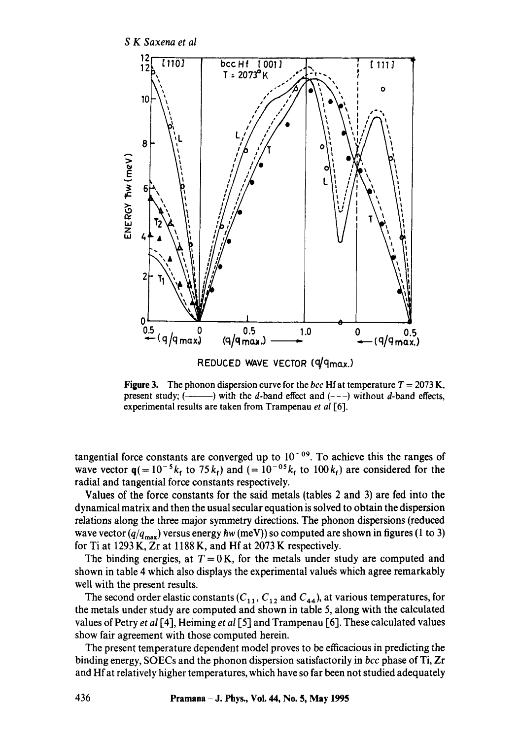

**Figure 3.** The phonon dispersion curve for the *bcc* Hf at temperature  $T = 2073$  K, present study;  $($ ——) with the d-band effect and  $(--)$  without d-band effects, experimental results are taken from Trampenau *et al* [6].

tangential force constants are converged up to  $10^{-09}$ . To achieve this the ranges of wave vector  $q(= 10^{-5}k_f$  to 75 $k_f$ ) and  $(= 10^{-05}k_f$  to 100 $k_f$ ) are considered for the radial and tangential force constants respectively.

Values of the force constants for the said metals (tables 2 and 3) are fed into the dynamical matrix and then the usual secular equation is solved to obtain the dispersion relations along the three major symmetry directions. The phonon dispersions (reduced wave vector  $(q/q_{\text{max}})$  versus energy *hw* (meV)) so computed are shown in figures (1 to 3) for Ti at 1293 K, Zr at 1188 K, and Hf at 2073 K respectively.

The binding energies, at  $T = 0$  K, for the metals under study are computed and shown in table 4 which also displays the experimental values which agree remarkably well with the present results.

The second order elastic constants  $(C_{11}, C_{12}$  and  $C_{44}$ ), at various temperatures, for the metals under study are computed and shown in table 5, along with the calculated values of Petry *et al* [4], Heiming *et al* [5] and Trampenau [6]. These calculated values show fair agreement with those computed herein.

The present temperature dependent model proves to be efficacious in predicting the binding energy, SOECs and the phonon dispersion satisfactorily in *bcc* phase of Ti, Zr and Hf at relatively higher temperatures, which have so far been not studied adequately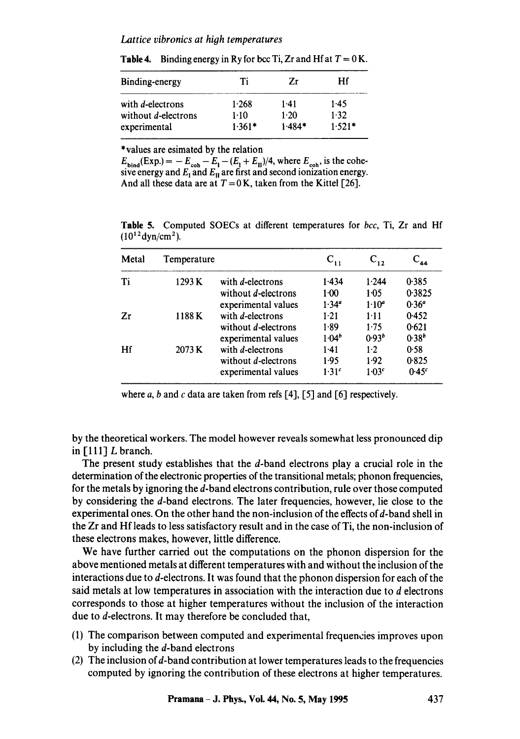#### Lattice vibronics at high temperatures

| Ti     | 7r       | Нf               |
|--------|----------|------------------|
| 1.268  | $1-41$   | 1.45             |
| $1-10$ | 1.20     | 1.32<br>$1.521*$ |
|        | $1.361*$ | $1.484*$         |

Table 4. Binding energy in Ry for bcc Ti, Zr and Hf at  $T = 0$  K.

\* values are esimated by the relation

 $E_{\text{bind}}(\text{Exp.}) = -E_{\text{coh}} - E_{\text{I}} - (E_{\text{I}} + E_{\text{II}})/4$ , where  $E_{\text{coh}}$ , is the cohesive energy and  $E_I$  and  $E_{II}$  are first and second ionization energy. And all these data are at  $T = 0$  K, taken from the Kittel [26].

Table 5. Computed SOECs at different temperatures for *bcc,* Ti, Zr and Hf  $(10^{12}$ dyn/cm<sup>2</sup>).

| Metal | Temperature |                     | $\mathbf{C_{11}}$ | $C_{12}$          | $C_{44}$          |
|-------|-------------|---------------------|-------------------|-------------------|-------------------|
| Ti    | 1293K       | with d-electrons    | 1.434             | 1.244             | 0.385             |
|       |             | without d-electrons | $1-00$            | 1:05              | 0.3825            |
|       |             | experimental values | $1.34^{a}$        | $1.10^{a}$        | 0.36 <sup>a</sup> |
| Zr    | 1188 K      | with d-electrons    | 1.21              | $1-11$            | 0.452             |
|       |             | without d-electrons | 1.89              | 1.75              | 0.621             |
|       |             | experimental values | $1.04^{b}$        | 0.93 <sup>b</sup> | $0.38^{b}$        |
| Hf    | 2073 K      | with d-electrons    | $1-41$            | $1-2$             | 0.58              |
|       |             | without d-electrons | 1.95              | 1.92              | 0.825             |
|       |             | experimental values | 1.31 <sup>c</sup> | 1.03 <sup>c</sup> | 0.45 <sup>c</sup> |

where a, b and c data are taken from refs [4], [5] and [6] respectively.

by the theoretical workers. The model however reveals somewhat less pronounced dip in  $[111]$  L branch.

The present study establishes that the d-band electrons play a crucial role in the determination of the electronic properties of the transitional metals; phonon frequencies, for the metals by ignoring the d-band electrons contribution, rule over those computed by considering the d-band electrons. The later frequencies, however, lie close to the experimental ones. On the other hand the non-inclusion of the effects of d-band shell in the Zr and Hf leads to less satisfactory result and in the case of Ti, the non-inclusion of these electrons makes, however, little difference.

We have further carried out the computations on the phonon dispersion for the above mentioned metals at different temperatures with and without the inclusion of the interactions due to d-electrons. It was found that the phonon dispersion for each of the said metals at low temperatures in association with the interaction due to d electrons corresponds to those at higher temperatures without the inclusion of the interaction due to d-electrons. It may therefore be concluded that,

- (1) The comparison between computed and experimental frequencies improves upon by including the d-band electrons
- (2) The inclusion of  $d$ -band contribution at lower temperatures leads to the frequencies computed by ignoring the contribution of these electrons at higher temperatures.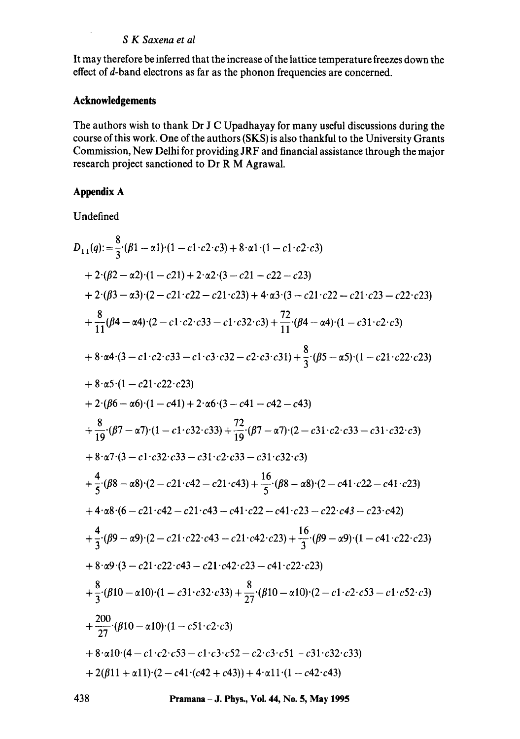It may therefore be inferred that the increase of the lattice temperature freezes down the effect of d-band electrons as far as the phonon frequencies are concerned.

# **Acknowledgements**

The authors wish to thank Dr J C Upadhayay for many useful discussions during the course of this work. One of the authors (SKS) is also thankful to the University Grants Commission, New Delhi for providing JRF and financial assistance through the major research project sanctioned to Dr R M Agrawal.

# **Appendix A**

Undefined

$$
D_{11}(q) := \frac{8}{3} \cdot (\beta 1 - \alpha 1) \cdot (1 - c1 \cdot c2 \cdot c3) + 8 \cdot \alpha 1 \cdot (1 - c1 \cdot c2 \cdot c3)
$$
  
+  $2 \cdot (\beta 2 - \alpha 2) \cdot (1 - c21) + 2 \cdot \alpha 2 \cdot (3 - c21 - c22 - c23)$   
+  $2 \cdot (\beta 3 - \alpha 3) \cdot (2 - c21 \cdot c22 - c21 \cdot c23) + 4 \cdot \alpha 3 \cdot (3 - c21 \cdot c22 - c21 \cdot c23 - c22 \cdot c23)$   
+  $\frac{8}{11} (\beta 4 - \alpha 4) \cdot (2 - c1 \cdot c2 \cdot c33 - c1 \cdot c32 \cdot c3) + \frac{72}{11} \cdot (\beta 4 - \alpha 4) \cdot (1 - c31 \cdot c2 \cdot c3)$   
+  $8 \cdot \alpha 4 \cdot (3 - c1 \cdot c2 \cdot c33 - c1 \cdot c3 \cdot c32 - c2 \cdot c3 \cdot c31) + \frac{8}{3} \cdot (\beta 5 - \alpha 5) \cdot (1 - c21 \cdot c22 \cdot c23)$   
+  $8 \cdot \alpha 5 \cdot (1 - c21 \cdot c22 \cdot c23)$   
+  $2 \cdot (\beta 6 - \alpha 6) \cdot (1 - c41) + 2 \cdot \alpha 6 \cdot (3 - c41 - c42 - c43)$   
+  $\frac{8}{19} \cdot (\beta 7 - \alpha 7) \cdot (1 - c1 \cdot c32 \cdot c33) + \frac{72}{19} \cdot (\beta 7 - \alpha 7) \cdot (2 - c31 \cdot c2 \cdot c33 - c31 \cdot c32 \cdot c3)$   
+  $8 \cdot \alpha 7 \cdot (3 - c1 \cdot c32 \cdot c33 - c31 \cdot c2 \cdot c33 - c31 \cdot c32 \cdot c3)$   
+  $\frac{4}{3} \cdot (\beta 8 - \alpha 8) \cdot (2 - c21 \cdot c42 - c21 \cdot c43) + \frac{16}{5} \cdot (\beta 8 - \alpha 8) \cdot (2 - c41 \cdot c22 - c41 \cdot c23)$   
+  $4 \cdot \alpha 8 \cdot (6 - c21 \cdot c42 - c21$ 

438 **Pramana - J. Phys., VoL 44, No. 5, May 1995**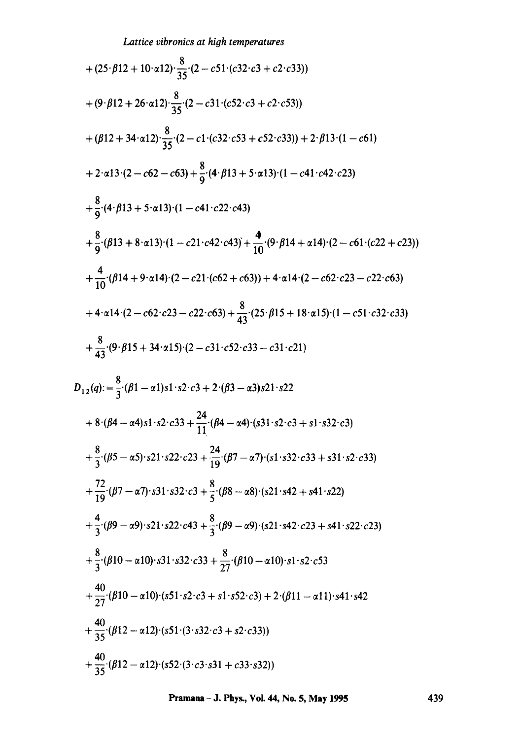Lattice vibromics at high temperatures  
+ 
$$
(25 \cdot \beta12 + 10 \cdot \alpha12) \cdot \frac{8}{35} (2 - c51 \cdot (c32 \cdot c3 + c2 \cdot c33))
$$
  
+  $(9 \cdot \beta12 + 26 \cdot \alpha12) \cdot \frac{8}{35} (2 - c31 \cdot (c52 \cdot c3 + c2 \cdot c53))$   
+  $(\beta12 + 34 \cdot \alpha12) \cdot \frac{8}{35} (2 - c1 \cdot (c32 \cdot c53 + c52 \cdot c33)) + 2 \cdot \beta13 \cdot (1 - c61)$   
+  $2 \cdot \alpha13 \cdot (2 - c62 - c63) + \frac{8}{9} \cdot (4 \cdot \beta13 + 5 \cdot \alpha13) \cdot (1 - c41 \cdot c42 \cdot c23)$   
+  $\frac{8}{9} \cdot (4 \cdot \beta13 + 5 \cdot \alpha13) \cdot (1 - c41 \cdot c22 \cdot c43)$   
+  $\frac{8}{9} \cdot (613 + 8 \cdot \alpha13) \cdot (1 - c21 \cdot c42 \cdot c43) + \frac{4}{10} \cdot (9 \cdot \beta14 + \alpha14) \cdot (2 - c61 \cdot (c22 + c23))$   
+  $\frac{4}{10} \cdot (614 + 9 \cdot \alpha14) \cdot (2 - c21 \cdot (c62 + c63)) + 4 \cdot \alpha14 \cdot (2 - c62 \cdot c23 - c22 \cdot c63)$   
+  $4 \cdot \alpha14 \cdot (2 - c62 \cdot c23 - c22 \cdot c63) + \frac{8}{43} \cdot (25 \cdot \beta15 + 18 \cdot \alpha15) \cdot (1 - c51 \cdot c32 \cdot c33)$   
+  $\frac{8}{43} \cdot (9 \cdot \beta15 + 34 \cdot \alpha15) \cdot (2 - c31 \cdot c52 \cdot c33 - c31 \cdot c21)$   
 $D_{12}(q): = \frac{8}{3} \cdot (\beta1 - \alpha1)s1 \cdot s2 \cdot c3 + 2 \cdot (\beta3 - \alpha3)s21 \cdot s22$   
+  $8 \cdot (\beta4 - \alpha4)s1 \cdot s2 \cdot c33 + \frac{24}{11} \cdot (\beta4 - \alpha4) \cdot ($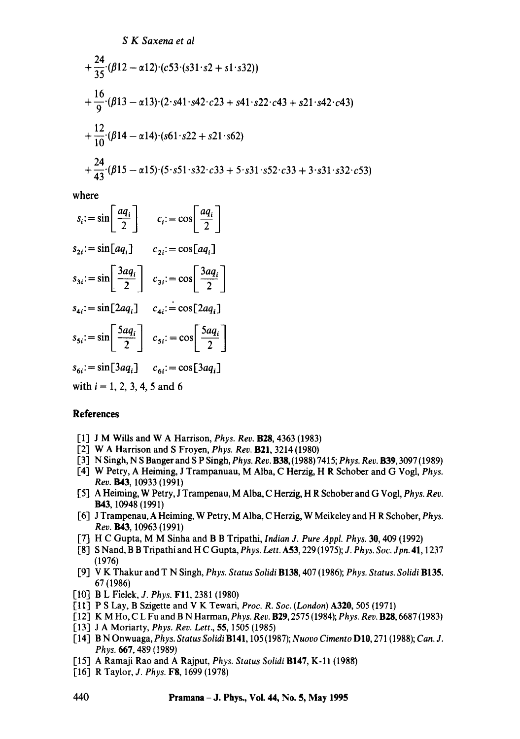$$
+\frac{24}{35}(\beta12-\alpha12)\cdot(c53\cdot(s31\cdot s2+s1\cdot s32))
$$
  
+
$$
\frac{16}{9}(\beta13-\alpha13)\cdot(2\cdot s41\cdot s42\cdot c23+s41\cdot s22\cdot c43+s21\cdot s42\cdot c43)
$$
  
+
$$
\frac{12}{10}(\beta14-\alpha14)\cdot(s61\cdot s22+s21\cdot s62)
$$
  
+
$$
\frac{24}{43}(\beta15-\alpha15)\cdot(5\cdot s51\cdot s32\cdot c33+5\cdot s31\cdot s52\cdot c33+3\cdot s31\cdot s32\cdot c53)
$$

where

$$
s_i := \sin\left[\frac{aq_i}{2}\right] \qquad c_i := \cos\left[\frac{aq_i}{2}\right]
$$
  
\n
$$
s_{2i} := \sin\left[aq_i\right] \qquad c_{2i} := \cos\left[aq_i\right]
$$
  
\n
$$
s_{3i} := \sin\left[\frac{3aq_i}{2}\right] \qquad c_{3i} := \cos\left[\frac{3aq_i}{2}\right]
$$
  
\n
$$
s_{4i} := \sin\left[2aq_i\right] \qquad c_{4i} := \cos\left[2aq_i\right]
$$
  
\n
$$
s_{5i} := \sin\left[\frac{5aq_i}{2}\right] \qquad c_{5i} := \cos\left[\frac{5aq_i}{2}\right]
$$
  
\n
$$
s_{6i} := \sin\left[3aq_i\right] \qquad c_{6i} := \cos\left[3aq_i\right]
$$
  
\nwith  $i = 1, 2, 3, 4, 5$  and 6

## **References**

- I-l] J M Wills and W A Harrison, *Phys. Rev.* B28, 4363 (1983)
- [2] W A Harrison and S Froyen, *Phys. Rev.* B21, 3214 (1980)
- [3] N Singh, N S Banger and S P Singh, *Phys. Rev.* B38, (1988) 7415; *Phys. Rev.* B39, 3097 (1989)
- [4] W Petry, A Heiming, J Trampanuau, M Alba, C Herzig, H R Schober and G Vogl, *Phys. Rev.* **B43**, 10933 (1991)
- [5] A Heiming, W Petry, J Trampenau, M Alba, C Herzig, H R Schober and G Vogl, *Phys. Rev.*  B43, 10948 (1991)
- [6] J Trampenau, A Heiming, W Perry, M Alba, C Herzig, W Meikeley and H R Schober, *Phys. Rev.* **B43**, 10963 (1991)
- [7] H C Gupta, M M Sinha and B B Tripathi, *Indian J. Pure Appl. Phys.* 30, 409 (1992)
- [8] S Nand, B B Tripathi and H C Gupta, *Phys. Lett.* A53, 229 (1975); *J. Phys. Soc. Jpn.* 41, 1237 (1976)
- [9] V K Thakur and T N Singh, *Phys. Status Solidi* B138, 407 (1986); *Phys. Status. Solidi* B135, 67 (1986)
- [10] B L Fielek, *J. Phys.* FI1, 2381 (1980)
- [11] P S Lay, B Szigette and V K Tewari, *Proc. R. Soc. (London)* A320, 505 (1971)
- [12] K M Ho, C L Fu and B N Harman, *Phys. Rev.* B29, 2575 (1984); *Phys. Rev.* B28, 6687 (1983)
- [13] J A Moriarty, *Phys. Rev. Lett.,* 55, 1505 (1985)
- [14] B N Onwuaga, *Phys. Status Solidi* B141, 105 (1987); *Nuovo Cimento* D10, 271 (1988); *Can. J. Phys.* 667, 489 (1989)
- [15] A Ramaji Rao and A Rajput, *Phys. Status Solidi* B147, K-11 (1988)
- [16] R Taylor, *J. Phys.* F8, 1699 (1978)